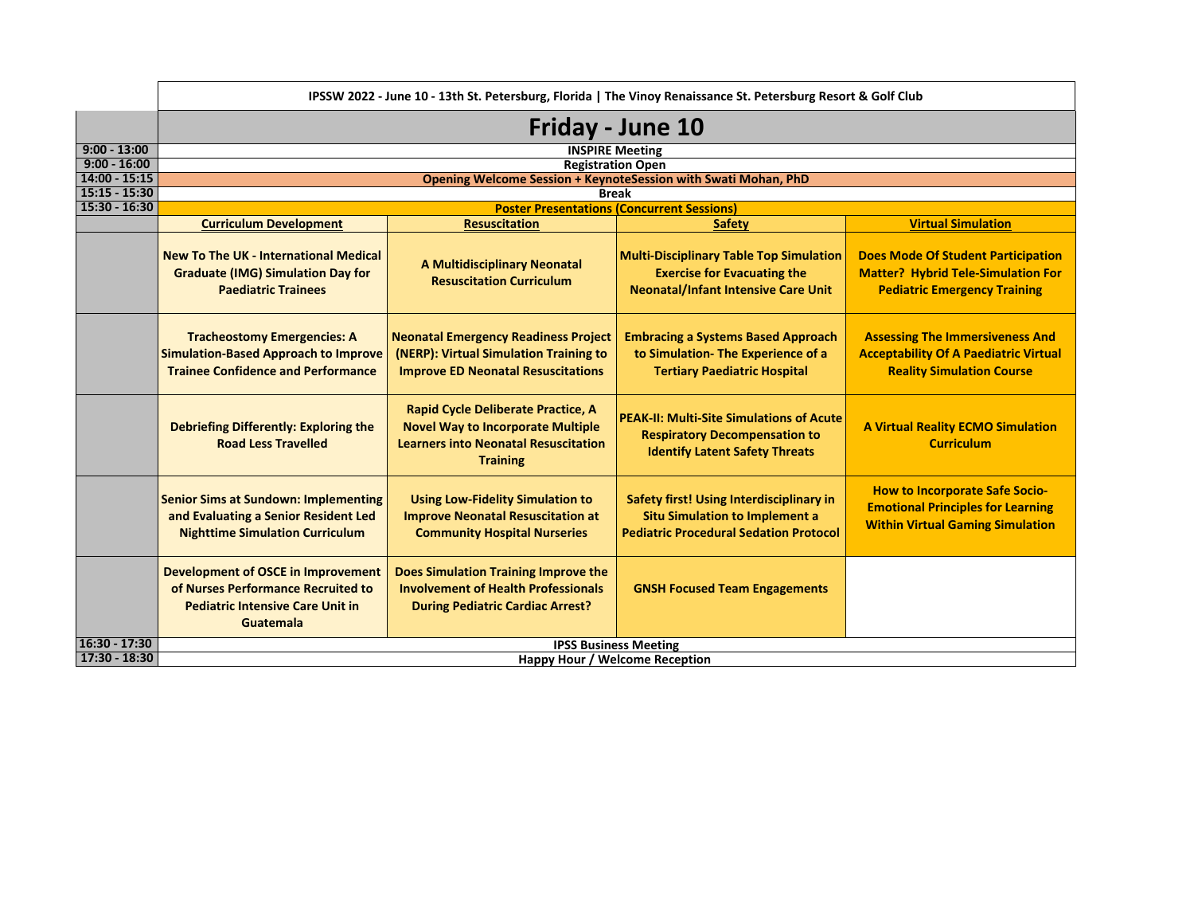|                 | IPSSW 2022 - June 10 - 13th St. Petersburg, Florida   The Vinoy Renaissance St. Petersburg Resort & Golf Club                                  |                                                                                                                                                  |                                                                                                                                    |                                                                                                                               |
|-----------------|------------------------------------------------------------------------------------------------------------------------------------------------|--------------------------------------------------------------------------------------------------------------------------------------------------|------------------------------------------------------------------------------------------------------------------------------------|-------------------------------------------------------------------------------------------------------------------------------|
|                 | Friday - June 10                                                                                                                               |                                                                                                                                                  |                                                                                                                                    |                                                                                                                               |
| $9:00 - 13:00$  |                                                                                                                                                |                                                                                                                                                  | <b>INSPIRE Meeting</b>                                                                                                             |                                                                                                                               |
| $9:00 - 16:00$  |                                                                                                                                                |                                                                                                                                                  | <b>Registration Open</b>                                                                                                           |                                                                                                                               |
| $14:00 - 15:15$ |                                                                                                                                                |                                                                                                                                                  | Opening Welcome Session + KeynoteSession with Swati Mohan, PhD                                                                     |                                                                                                                               |
| $15:15 - 15:30$ |                                                                                                                                                |                                                                                                                                                  | <b>Break</b>                                                                                                                       |                                                                                                                               |
| $15:30 - 16:30$ |                                                                                                                                                |                                                                                                                                                  | <b>Poster Presentations (Concurrent Sessions)</b>                                                                                  |                                                                                                                               |
|                 | <b>Curriculum Development</b>                                                                                                                  | <b>Resuscitation</b>                                                                                                                             | <b>Safety</b>                                                                                                                      | <b>Virtual Simulation</b>                                                                                                     |
|                 | <b>New To The UK - International Medical</b><br><b>Graduate (IMG) Simulation Day for</b><br><b>Paediatric Trainees</b>                         | <b>A Multidisciplinary Neonatal</b><br><b>Resuscitation Curriculum</b>                                                                           | <b>Multi-Disciplinary Table Top Simulation</b><br><b>Exercise for Evacuating the</b><br><b>Neonatal/Infant Intensive Care Unit</b> | <b>Does Mode Of Student Participation</b><br><b>Matter? Hybrid Tele-Simulation For</b><br><b>Pediatric Emergency Training</b> |
|                 | <b>Tracheostomy Emergencies: A</b><br><b>Simulation-Based Approach to Improve</b><br><b>Trainee Confidence and Performance</b>                 | <b>Neonatal Emergency Readiness Project</b><br>(NERP): Virtual Simulation Training to<br><b>Improve ED Neonatal Resuscitations</b>               | <b>Embracing a Systems Based Approach</b><br>to Simulation- The Experience of a<br><b>Tertiary Paediatric Hospital</b>             | <b>Assessing The Immersiveness And</b><br><b>Acceptability Of A Paediatric Virtual</b><br><b>Reality Simulation Course</b>    |
|                 | <b>Debriefing Differently: Exploring the</b><br><b>Road Less Travelled</b>                                                                     | Rapid Cycle Deliberate Practice, A<br><b>Novel Way to Incorporate Multiple</b><br><b>Learners into Neonatal Resuscitation</b><br><b>Training</b> | <b>PEAK-II: Multi-Site Simulations of Acute</b><br><b>Respiratory Decompensation to</b><br><b>Identify Latent Safety Threats</b>   | <b>A Virtual Reality ECMO Simulation</b><br><b>Curriculum</b>                                                                 |
|                 | <b>Senior Sims at Sundown: Implementing</b><br>and Evaluating a Senior Resident Led<br><b>Nighttime Simulation Curriculum</b>                  | <b>Using Low-Fidelity Simulation to</b><br><b>Improve Neonatal Resuscitation at</b><br><b>Community Hospital Nurseries</b>                       | Safety first! Using Interdisciplinary in<br><b>Situ Simulation to Implement a</b><br><b>Pediatric Procedural Sedation Protocol</b> | <b>How to Incorporate Safe Socio-</b><br><b>Emotional Principles for Learning</b><br><b>Within Virtual Gaming Simulation</b>  |
|                 | <b>Development of OSCE in Improvement</b><br>of Nurses Performance Recruited to<br><b>Pediatric Intensive Care Unit in</b><br><b>Guatemala</b> | <b>Does Simulation Training Improve the</b><br><b>Involvement of Health Professionals</b><br><b>During Pediatric Cardiac Arrest?</b>             | <b>GNSH Focused Team Engagements</b>                                                                                               |                                                                                                                               |
| $16:30 - 17:30$ | <b>IPSS Business Meeting</b>                                                                                                                   |                                                                                                                                                  |                                                                                                                                    |                                                                                                                               |
| 17:30 - 18:30   | Happy Hour / Welcome Reception                                                                                                                 |                                                                                                                                                  |                                                                                                                                    |                                                                                                                               |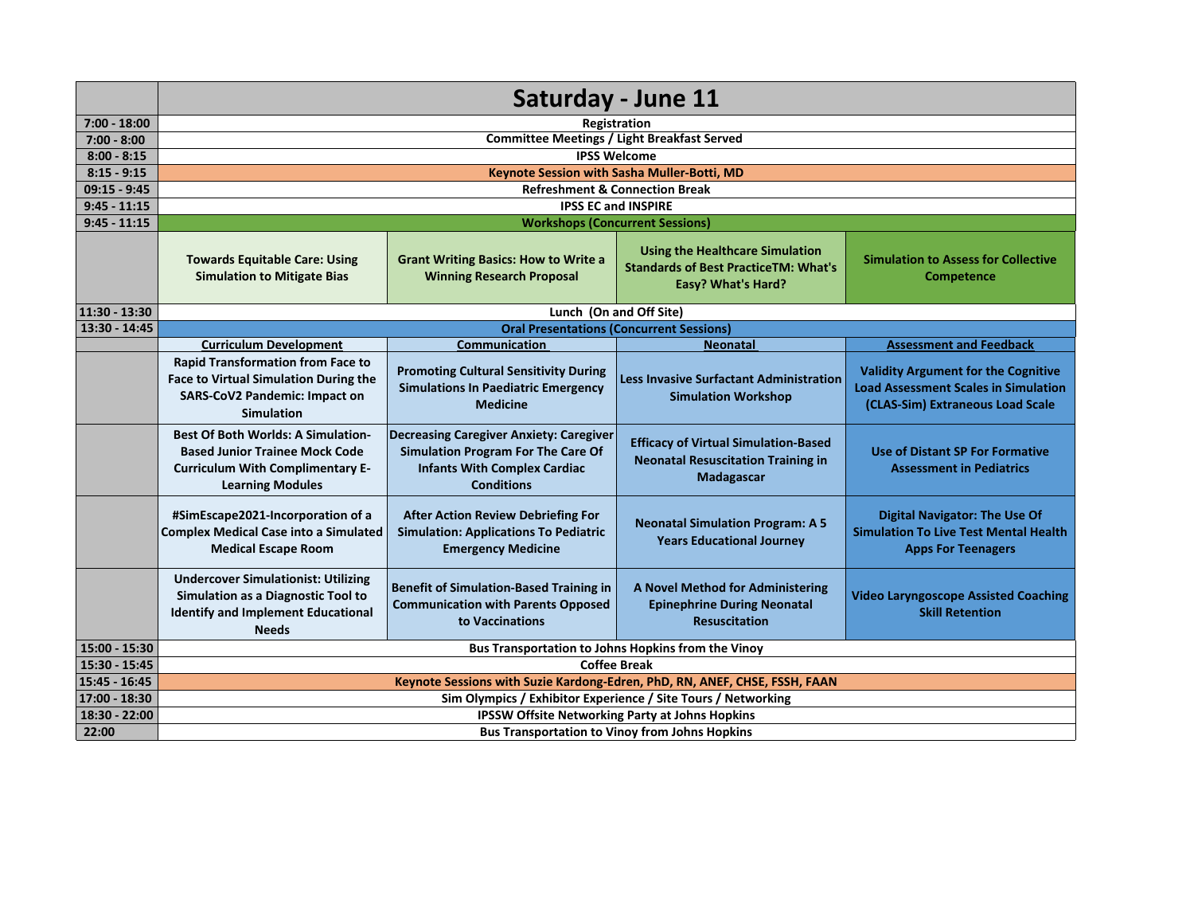|                | Saturday - June 11                                                                                                                                       |                                                                                                                                                  |                                                                                                                    |                                                                                                                               |
|----------------|----------------------------------------------------------------------------------------------------------------------------------------------------------|--------------------------------------------------------------------------------------------------------------------------------------------------|--------------------------------------------------------------------------------------------------------------------|-------------------------------------------------------------------------------------------------------------------------------|
| $7:00 - 18:00$ | Registration                                                                                                                                             |                                                                                                                                                  |                                                                                                                    |                                                                                                                               |
| $7:00 - 8:00$  |                                                                                                                                                          | <b>Committee Meetings / Light Breakfast Served</b>                                                                                               |                                                                                                                    |                                                                                                                               |
| $8:00 - 8:15$  |                                                                                                                                                          |                                                                                                                                                  | <b>IPSS Welcome</b>                                                                                                |                                                                                                                               |
| $8:15 - 9:15$  |                                                                                                                                                          |                                                                                                                                                  | Keynote Session with Sasha Muller-Botti, MD                                                                        |                                                                                                                               |
| $09:15 - 9:45$ |                                                                                                                                                          |                                                                                                                                                  | <b>Refreshment &amp; Connection Break</b>                                                                          |                                                                                                                               |
| $9:45 - 11:15$ |                                                                                                                                                          |                                                                                                                                                  | <b>IPSS EC and INSPIRE</b>                                                                                         |                                                                                                                               |
| $9:45 - 11:15$ |                                                                                                                                                          |                                                                                                                                                  | <b>Workshops (Concurrent Sessions)</b>                                                                             |                                                                                                                               |
|                | <b>Towards Equitable Care: Using</b><br><b>Simulation to Mitigate Bias</b>                                                                               | <b>Grant Writing Basics: How to Write a</b><br><b>Winning Research Proposal</b>                                                                  | <b>Using the Healthcare Simulation</b><br><b>Standards of Best PracticeTM: What's</b><br><b>Easy? What's Hard?</b> | <b>Simulation to Assess for Collective</b><br>Competence                                                                      |
| 11:30 - 13:30  |                                                                                                                                                          |                                                                                                                                                  | Lunch (On and Off Site)                                                                                            |                                                                                                                               |
| 13:30 - 14:45  | <b>Oral Presentations (Concurrent Sessions)</b>                                                                                                          |                                                                                                                                                  |                                                                                                                    |                                                                                                                               |
|                | <b>Curriculum Development</b>                                                                                                                            | <b>Communication</b>                                                                                                                             | <b>Neonatal</b>                                                                                                    | <b>Assessment and Feedback</b>                                                                                                |
|                | <b>Rapid Transformation from Face to</b><br><b>Face to Virtual Simulation During the</b><br><b>SARS-CoV2 Pandemic: Impact on</b><br><b>Simulation</b>    | <b>Promoting Cultural Sensitivity During</b><br><b>Simulations In Paediatric Emergency</b><br><b>Medicine</b>                                    | <b>Less Invasive Surfactant Administration</b><br><b>Simulation Workshop</b>                                       | <b>Validity Argument for the Cognitive</b><br><b>Load Assessment Scales in Simulation</b><br>(CLAS-Sim) Extraneous Load Scale |
|                | <b>Best Of Both Worlds: A Simulation-</b><br><b>Based Junior Trainee Mock Code</b><br><b>Curriculum With Complimentary E-</b><br><b>Learning Modules</b> | <b>Decreasing Caregiver Anxiety: Caregiver</b><br>Simulation Program For The Care Of<br><b>Infants With Complex Cardiac</b><br><b>Conditions</b> | <b>Efficacy of Virtual Simulation-Based</b><br><b>Neonatal Resuscitation Training in</b><br>Madagascar             | <b>Use of Distant SP For Formative</b><br><b>Assessment in Pediatrics</b>                                                     |
|                | #SimEscape2021-Incorporation of a<br><b>Complex Medical Case into a Simulated</b><br><b>Medical Escape Room</b>                                          | <b>After Action Review Debriefing For</b><br><b>Simulation: Applications To Pediatric</b><br><b>Emergency Medicine</b>                           | <b>Neonatal Simulation Program: A 5</b><br><b>Years Educational Journey</b>                                        | <b>Digital Navigator: The Use Of</b><br><b>Simulation To Live Test Mental Health</b><br><b>Apps For Teenagers</b>             |
|                | <b>Undercover Simulationist: Utilizing</b><br>Simulation as a Diagnostic Tool to<br><b>Identify and Implement Educational</b><br><b>Needs</b>            | <b>Benefit of Simulation-Based Training in</b><br><b>Communication with Parents Opposed</b><br>to Vaccinations                                   | <b>A Novel Method for Administering</b><br><b>Epinephrine During Neonatal</b><br><b>Resuscitation</b>              | <b>Video Laryngoscope Assisted Coaching</b><br><b>Skill Retention</b>                                                         |
| 15:00 - 15:30  | Bus Transportation to Johns Hopkins from the Vinoy                                                                                                       |                                                                                                                                                  |                                                                                                                    |                                                                                                                               |
| 15:30 - 15:45  | <b>Coffee Break</b>                                                                                                                                      |                                                                                                                                                  |                                                                                                                    |                                                                                                                               |
| 15:45 - 16:45  | Keynote Sessions with Suzie Kardong-Edren, PhD, RN, ANEF, CHSE, FSSH, FAAN                                                                               |                                                                                                                                                  |                                                                                                                    |                                                                                                                               |
| 17:00 - 18:30  | Sim Olympics / Exhibitor Experience / Site Tours / Networking                                                                                            |                                                                                                                                                  |                                                                                                                    |                                                                                                                               |
| 18:30 - 22:00  | <b>IPSSW Offsite Networking Party at Johns Hopkins</b>                                                                                                   |                                                                                                                                                  |                                                                                                                    |                                                                                                                               |
| 22:00          | <b>Bus Transportation to Vinoy from Johns Hopkins</b>                                                                                                    |                                                                                                                                                  |                                                                                                                    |                                                                                                                               |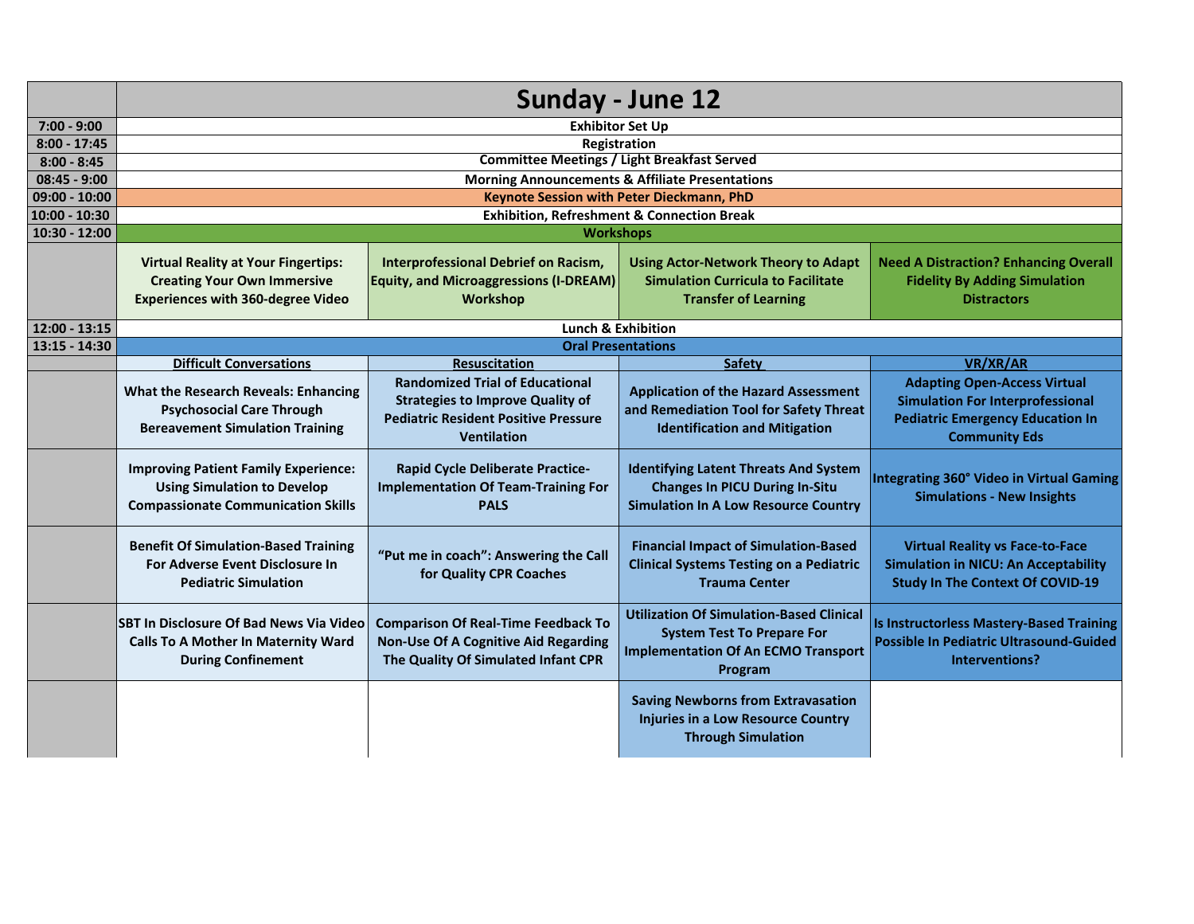|                 | Sunday - June 12                                                                                                               |                                                                                                                                                        |                                                                                                                                               |                                                                                                                                                   |  |
|-----------------|--------------------------------------------------------------------------------------------------------------------------------|--------------------------------------------------------------------------------------------------------------------------------------------------------|-----------------------------------------------------------------------------------------------------------------------------------------------|---------------------------------------------------------------------------------------------------------------------------------------------------|--|
| $7:00 - 9:00$   | <b>Exhibitor Set Up</b>                                                                                                        |                                                                                                                                                        |                                                                                                                                               |                                                                                                                                                   |  |
| $8:00 - 17:45$  |                                                                                                                                | Registration                                                                                                                                           |                                                                                                                                               |                                                                                                                                                   |  |
| $8:00 - 8:45$   |                                                                                                                                | <b>Committee Meetings / Light Breakfast Served</b>                                                                                                     |                                                                                                                                               |                                                                                                                                                   |  |
| $08:45 - 9:00$  |                                                                                                                                |                                                                                                                                                        | <b>Morning Announcements &amp; Affiliate Presentations</b>                                                                                    |                                                                                                                                                   |  |
| $09:00 - 10:00$ |                                                                                                                                | Keynote Session with Peter Dieckmann, PhD                                                                                                              |                                                                                                                                               |                                                                                                                                                   |  |
| $10:00 - 10:30$ |                                                                                                                                | <b>Exhibition, Refreshment &amp; Connection Break</b>                                                                                                  |                                                                                                                                               |                                                                                                                                                   |  |
| $10:30 - 12:00$ |                                                                                                                                | <b>Workshops</b>                                                                                                                                       |                                                                                                                                               |                                                                                                                                                   |  |
|                 | <b>Virtual Reality at Your Fingertips:</b>                                                                                     | Interprofessional Debrief on Racism,                                                                                                                   | <b>Using Actor-Network Theory to Adapt</b>                                                                                                    | <b>Need A Distraction? Enhancing Overall</b>                                                                                                      |  |
|                 | <b>Creating Your Own Immersive</b>                                                                                             | <b>Equity, and Microaggressions (I-DREAM)</b>                                                                                                          | <b>Simulation Curricula to Facilitate</b>                                                                                                     | <b>Fidelity By Adding Simulation</b>                                                                                                              |  |
|                 | <b>Experiences with 360-degree Video</b>                                                                                       | Workshop                                                                                                                                               | <b>Transfer of Learning</b>                                                                                                                   | <b>Distractors</b>                                                                                                                                |  |
|                 |                                                                                                                                |                                                                                                                                                        |                                                                                                                                               |                                                                                                                                                   |  |
| $12:00 - 13:15$ | Lunch & Exhibition                                                                                                             |                                                                                                                                                        |                                                                                                                                               |                                                                                                                                                   |  |
| 13:15 - 14:30   |                                                                                                                                | <b>Oral Presentations</b>                                                                                                                              |                                                                                                                                               |                                                                                                                                                   |  |
|                 | <b>Difficult Conversations</b>                                                                                                 | <b>Resuscitation</b>                                                                                                                                   | Safety                                                                                                                                        | VR/XR/AR                                                                                                                                          |  |
|                 | <b>What the Research Reveals: Enhancing</b><br><b>Psychosocial Care Through</b><br><b>Bereavement Simulation Training</b>      | <b>Randomized Trial of Educational</b><br><b>Strategies to Improve Quality of</b><br><b>Pediatric Resident Positive Pressure</b><br><b>Ventilation</b> | <b>Application of the Hazard Assessment</b><br>and Remediation Tool for Safety Threat<br><b>Identification and Mitigation</b>                 | <b>Adapting Open-Access Virtual</b><br><b>Simulation For Interprofessional</b><br><b>Pediatric Emergency Education In</b><br><b>Community Eds</b> |  |
|                 | <b>Improving Patient Family Experience:</b><br><b>Using Simulation to Develop</b><br><b>Compassionate Communication Skills</b> | <b>Rapid Cycle Deliberate Practice-</b><br><b>Implementation Of Team-Training For</b><br><b>PALS</b>                                                   | <b>Identifying Latent Threats And System</b><br><b>Changes In PICU During In-Situ</b><br><b>Simulation In A Low Resource Country</b>          | Integrating 360° Video in Virtual Gaming<br><b>Simulations - New Insights</b>                                                                     |  |
|                 | <b>Benefit Of Simulation-Based Training</b><br>For Adverse Event Disclosure In<br><b>Pediatric Simulation</b>                  | "Put me in coach": Answering the Call<br>for Quality CPR Coaches                                                                                       | <b>Financial Impact of Simulation-Based</b><br><b>Clinical Systems Testing on a Pediatric</b><br><b>Trauma Center</b>                         | <b>Virtual Reality vs Face-to-Face</b><br><b>Simulation in NICU: An Acceptability</b><br><b>Study In The Context Of COVID-19</b>                  |  |
|                 | SBT In Disclosure Of Bad News Via Video<br><b>Calls To A Mother In Maternity Ward</b><br><b>During Confinement</b>             | <b>Comparison Of Real-Time Feedback To</b><br><b>Non-Use Of A Cognitive Aid Regarding</b><br>The Quality Of Simulated Infant CPR                       | <b>Utilization Of Simulation-Based Clinical</b><br><b>System Test To Prepare For</b><br><b>Implementation Of An ECMO Transport</b><br>Program | Is Instructorless Mastery-Based Training<br><b>Possible In Pediatric Ultrasound-Guided</b><br>Interventions?                                      |  |
|                 |                                                                                                                                |                                                                                                                                                        | <b>Saving Newborns from Extravasation</b><br>Injuries in a Low Resource Country<br><b>Through Simulation</b>                                  |                                                                                                                                                   |  |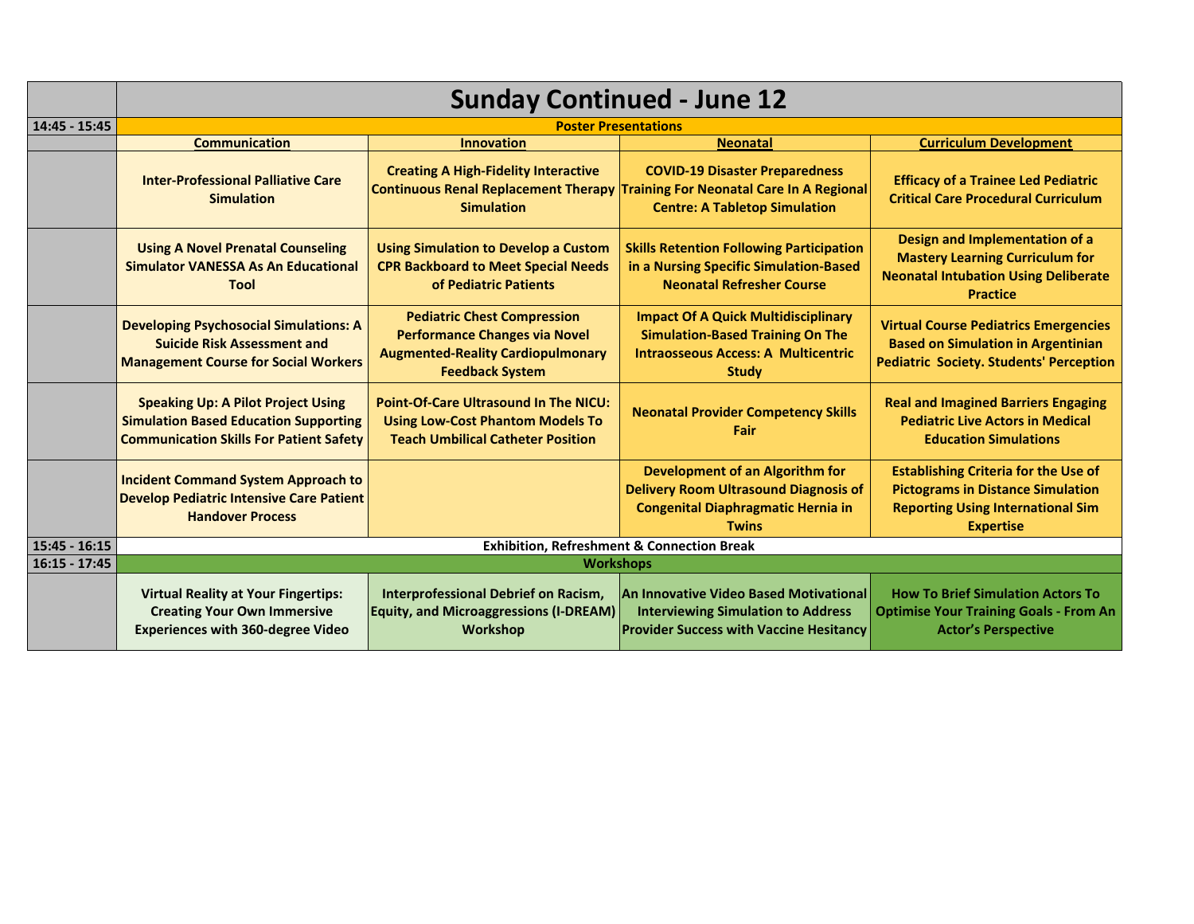|                 | <b>Sunday Continued - June 12</b>                                                                                                           |                                                                                                                                                  |                                                                                                                                                                |                                                                                                                                                         |
|-----------------|---------------------------------------------------------------------------------------------------------------------------------------------|--------------------------------------------------------------------------------------------------------------------------------------------------|----------------------------------------------------------------------------------------------------------------------------------------------------------------|---------------------------------------------------------------------------------------------------------------------------------------------------------|
| 14:45 - 15:45   |                                                                                                                                             |                                                                                                                                                  | <b>Poster Presentations</b>                                                                                                                                    |                                                                                                                                                         |
|                 | <b>Communication</b>                                                                                                                        | <b>Innovation</b>                                                                                                                                | <b>Neonatal</b>                                                                                                                                                | <b>Curriculum Development</b>                                                                                                                           |
|                 | <b>Inter-Professional Palliative Care</b><br><b>Simulation</b>                                                                              | <b>Creating A High-Fidelity Interactive</b><br><b>Simulation</b>                                                                                 | <b>COVID-19 Disaster Preparedness</b><br>Continuous Renal Replacement Therapy Training For Neonatal Care In A Regional<br><b>Centre: A Tabletop Simulation</b> | <b>Efficacy of a Trainee Led Pediatric</b><br><b>Critical Care Procedural Curriculum</b>                                                                |
|                 | <b>Using A Novel Prenatal Counseling</b><br><b>Simulator VANESSA As An Educational</b><br><b>Tool</b>                                       | <b>Using Simulation to Develop a Custom</b><br><b>CPR Backboard to Meet Special Needs</b><br>of Pediatric Patients                               | <b>Skills Retention Following Participation</b><br>in a Nursing Specific Simulation-Based<br><b>Neonatal Refresher Course</b>                                  | Design and Implementation of a<br><b>Mastery Learning Curriculum for</b><br><b>Neonatal Intubation Using Deliberate</b><br><b>Practice</b>              |
|                 | <b>Developing Psychosocial Simulations: A</b><br><b>Suicide Risk Assessment and</b><br><b>Management Course for Social Workers</b>          | <b>Pediatric Chest Compression</b><br><b>Performance Changes via Novel</b><br><b>Augmented-Reality Cardiopulmonary</b><br><b>Feedback System</b> | <b>Impact Of A Quick Multidisciplinary</b><br><b>Simulation-Based Training On The</b><br><b>Intraosseous Access: A Multicentric</b><br><b>Study</b>            | <b>Virtual Course Pediatrics Emergencies</b><br><b>Based on Simulation in Argentinian</b><br><b>Pediatric Society. Students' Perception</b>             |
|                 | <b>Speaking Up: A Pilot Project Using</b><br><b>Simulation Based Education Supporting</b><br><b>Communication Skills For Patient Safety</b> | <b>Point-Of-Care Ultrasound In The NICU:</b><br><b>Using Low-Cost Phantom Models To</b><br><b>Teach Umbilical Catheter Position</b>              | <b>Neonatal Provider Competency Skills</b><br>Fair                                                                                                             | <b>Real and Imagined Barriers Engaging</b><br><b>Pediatric Live Actors in Medical</b><br><b>Education Simulations</b>                                   |
|                 | <b>Incident Command System Approach to</b><br><b>Develop Pediatric Intensive Care Patient</b><br><b>Handover Process</b>                    |                                                                                                                                                  | <b>Development of an Algorithm for</b><br><b>Delivery Room Ultrasound Diagnosis of</b><br><b>Congenital Diaphragmatic Hernia in</b><br><b>Twins</b>            | <b>Establishing Criteria for the Use of</b><br><b>Pictograms in Distance Simulation</b><br><b>Reporting Using International Sim</b><br><b>Expertise</b> |
| $15:45 - 16:15$ | <b>Exhibition, Refreshment &amp; Connection Break</b>                                                                                       |                                                                                                                                                  |                                                                                                                                                                |                                                                                                                                                         |
| $16:15 - 17:45$ | <b>Workshops</b>                                                                                                                            |                                                                                                                                                  |                                                                                                                                                                |                                                                                                                                                         |
|                 | <b>Virtual Reality at Your Fingertips:</b><br><b>Creating Your Own Immersive</b><br><b>Experiences with 360-degree Video</b>                | Interprofessional Debrief on Racism,<br><b>Equity, and Microaggressions (I-DREAM)</b><br>Workshop                                                | An Innovative Video Based Motivational<br><b>Interviewing Simulation to Address</b><br><b>Provider Success with Vaccine Hesitancy</b>                          | <b>How To Brief Simulation Actors To</b><br><b>Optimise Your Training Goals - From An</b><br><b>Actor's Perspective</b>                                 |